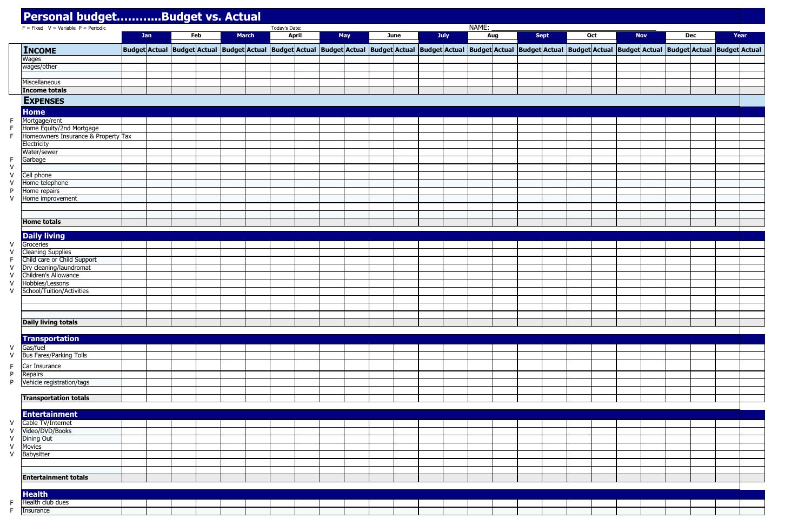| Year |  |  |
|------|--|--|

|  | <b>Nov</b> | Dec |                                                     | Year |
|--|------------|-----|-----------------------------------------------------|------|
|  |            |     |                                                     |      |
|  |            |     | \ctual  Budget Actual  Budget Actual  Budget Actual |      |
|  |            |     |                                                     |      |
|  |            |     |                                                     |      |
|  |            |     |                                                     |      |
|  |            |     |                                                     |      |
|  |            |     |                                                     |      |
|  |            |     |                                                     |      |
|  |            |     |                                                     |      |
|  |            |     |                                                     |      |
|  |            |     |                                                     |      |
|  |            |     |                                                     |      |
|  |            |     |                                                     |      |
|  |            |     |                                                     |      |
|  |            |     |                                                     |      |
|  |            |     |                                                     |      |
|  |            |     |                                                     |      |
|  |            |     |                                                     |      |
|  |            |     |                                                     |      |
|  |            |     |                                                     |      |
|  |            |     |                                                     |      |
|  |            |     |                                                     |      |
|  |            |     |                                                     |      |
|  |            |     |                                                     |      |
|  |            |     |                                                     |      |
|  |            |     |                                                     |      |
|  |            |     |                                                     |      |
|  |            |     |                                                     |      |
|  |            |     |                                                     |      |
|  |            |     |                                                     |      |
|  |            |     |                                                     |      |
|  |            |     |                                                     |      |
|  |            |     |                                                     |      |
|  |            |     |                                                     |      |
|  |            |     |                                                     |      |
|  |            |     |                                                     |      |
|  |            |     |                                                     |      |
|  |            |     |                                                     |      |
|  |            |     |                                                     |      |
|  |            |     |                                                     |      |
|  |            |     |                                                     |      |
|  |            |     |                                                     |      |
|  |            |     |                                                     |      |
|  |            |     |                                                     |      |
|  |            |     |                                                     |      |
|  |            |     |                                                     |      |
|  |            |     |                                                     |      |
|  |            |     |                                                     |      |
|  |            |     |                                                     |      |
|  |            |     |                                                     |      |
|  |            |     |                                                     |      |
|  |            |     |                                                     |      |
|  |            |     |                                                     |      |
|  |            |     |                                                     |      |
|  |            |     |                                                     |      |
|  |            |     |                                                     |      |
|  |            |     |                                                     |      |
|  |            |     |                                                     |      |
|  |            |     |                                                     |      |

| $F = Fixed \ V = Variable \ P = Periodic$ |     |     |              | Today's Date: |              |     |                                                                                                                                                                                                                               |  |      | NAME: |     |             |  |     |            |            |      |
|-------------------------------------------|-----|-----|--------------|---------------|--------------|-----|-------------------------------------------------------------------------------------------------------------------------------------------------------------------------------------------------------------------------------|--|------|-------|-----|-------------|--|-----|------------|------------|------|
|                                           | Jan | Feb | <b>March</b> |               | <b>April</b> | May | <b>June</b>                                                                                                                                                                                                                   |  | July |       | Aug | <b>Sept</b> |  | Oct | <b>Nov</b> | <b>Dec</b> | Year |
| <b>INCOME</b>                             |     |     |              |               |              |     | Budget Actual  Budget Actual  Budget Actual  Budget Actual  Budget Actual  Budget Actual  Budget Actual  Budget Actual  Budget Actual  Budget Actual  Budget Actual  Budget Actual  Budget Actual  Budget Actual  Budget Actu |  |      |       |     |             |  |     |            |            |      |
| Wages                                     |     |     |              |               |              |     |                                                                                                                                                                                                                               |  |      |       |     |             |  |     |            |            |      |
| wages/other                               |     |     |              |               |              |     |                                                                                                                                                                                                                               |  |      |       |     |             |  |     |            |            |      |
|                                           |     |     |              |               |              |     |                                                                                                                                                                                                                               |  |      |       |     |             |  |     |            |            |      |
| Miscellaneous                             |     |     |              |               |              |     |                                                                                                                                                                                                                               |  |      |       |     |             |  |     |            |            |      |
| <b>Income totals</b>                      |     |     |              |               |              |     |                                                                                                                                                                                                                               |  |      |       |     |             |  |     |            |            |      |
|                                           |     |     |              |               |              |     |                                                                                                                                                                                                                               |  |      |       |     |             |  |     |            |            |      |
| <b>EXPENSES</b>                           |     |     |              |               |              |     |                                                                                                                                                                                                                               |  |      |       |     |             |  |     |            |            |      |
| <b>Home</b>                               |     |     |              |               |              |     |                                                                                                                                                                                                                               |  |      |       |     |             |  |     |            |            |      |
| Mortgage/rent                             |     |     |              |               |              |     |                                                                                                                                                                                                                               |  |      |       |     |             |  |     |            |            |      |
| Home Equity/2nd Mortgage                  |     |     |              |               |              |     |                                                                                                                                                                                                                               |  |      |       |     |             |  |     |            |            |      |
| Homeowners Insurance & Property Tax       |     |     |              |               |              |     |                                                                                                                                                                                                                               |  |      |       |     |             |  |     |            |            |      |
| Electricity                               |     |     |              |               |              |     |                                                                                                                                                                                                                               |  |      |       |     |             |  |     |            |            |      |
| Water/sewer                               |     |     |              |               |              |     |                                                                                                                                                                                                                               |  |      |       |     |             |  |     |            |            |      |
| Garbage                                   |     |     |              |               |              |     |                                                                                                                                                                                                                               |  |      |       |     |             |  |     |            |            |      |
|                                           |     |     |              |               |              |     |                                                                                                                                                                                                                               |  |      |       |     |             |  |     |            |            |      |
| Cell phone                                |     |     |              |               |              |     |                                                                                                                                                                                                                               |  |      |       |     |             |  |     |            |            |      |
| Home telephone                            |     |     |              |               |              |     |                                                                                                                                                                                                                               |  |      |       |     |             |  |     |            |            |      |
| Home repairs                              |     |     |              |               |              |     |                                                                                                                                                                                                                               |  |      |       |     |             |  |     |            |            |      |
| Home improvement                          |     |     |              |               |              |     |                                                                                                                                                                                                                               |  |      |       |     |             |  |     |            |            |      |
|                                           |     |     |              |               |              |     |                                                                                                                                                                                                                               |  |      |       |     |             |  |     |            |            |      |
|                                           |     |     |              |               |              |     |                                                                                                                                                                                                                               |  |      |       |     |             |  |     |            |            |      |
| <b>Home totals</b>                        |     |     |              |               |              |     |                                                                                                                                                                                                                               |  |      |       |     |             |  |     |            |            |      |
| <b>Daily living</b>                       |     |     |              |               |              |     |                                                                                                                                                                                                                               |  |      |       |     |             |  |     |            |            |      |
| Groceries                                 |     |     |              |               |              |     |                                                                                                                                                                                                                               |  |      |       |     |             |  |     |            |            |      |
| <b>Cleaning Supplies</b>                  |     |     |              |               |              |     |                                                                                                                                                                                                                               |  |      |       |     |             |  |     |            |            |      |
| Child care or Child Support               |     |     |              |               |              |     |                                                                                                                                                                                                                               |  |      |       |     |             |  |     |            |            |      |
| Dry cleaning/laundromat                   |     |     |              |               |              |     |                                                                                                                                                                                                                               |  |      |       |     |             |  |     |            |            |      |
| Children's Allowance                      |     |     |              |               |              |     |                                                                                                                                                                                                                               |  |      |       |     |             |  |     |            |            |      |
| Hobbies/Lessons                           |     |     |              |               |              |     |                                                                                                                                                                                                                               |  |      |       |     |             |  |     |            |            |      |
| School/Tuition/Activities                 |     |     |              |               |              |     |                                                                                                                                                                                                                               |  |      |       |     |             |  |     |            |            |      |
|                                           |     |     |              |               |              |     |                                                                                                                                                                                                                               |  |      |       |     |             |  |     |            |            |      |
|                                           |     |     |              |               |              |     |                                                                                                                                                                                                                               |  |      |       |     |             |  |     |            |            |      |
|                                           |     |     |              |               |              |     |                                                                                                                                                                                                                               |  |      |       |     |             |  |     |            |            |      |
| <b>Daily living totals</b>                |     |     |              |               |              |     |                                                                                                                                                                                                                               |  |      |       |     |             |  |     |            |            |      |
|                                           |     |     |              |               |              |     |                                                                                                                                                                                                                               |  |      |       |     |             |  |     |            |            |      |
| <b>Transportation</b>                     |     |     |              |               |              |     |                                                                                                                                                                                                                               |  |      |       |     |             |  |     |            |            |      |
| Gas/fuel                                  |     |     |              |               |              |     |                                                                                                                                                                                                                               |  |      |       |     |             |  |     |            |            |      |
| <b>Bus Fares/Parking Tolls</b>            |     |     |              |               |              |     |                                                                                                                                                                                                                               |  |      |       |     |             |  |     |            |            |      |
|                                           |     |     |              |               |              |     |                                                                                                                                                                                                                               |  |      |       |     |             |  |     |            |            |      |
| Car Insurance                             |     |     |              |               |              |     |                                                                                                                                                                                                                               |  |      |       |     |             |  |     |            |            |      |
| Repairs                                   |     |     |              |               |              |     |                                                                                                                                                                                                                               |  |      |       |     |             |  |     |            |            |      |
| Vehicle registration/tags                 |     |     |              |               |              |     |                                                                                                                                                                                                                               |  |      |       |     |             |  |     |            |            |      |
|                                           |     |     |              |               |              |     |                                                                                                                                                                                                                               |  |      |       |     |             |  |     |            |            |      |
| <b>Transportation totals</b>              |     |     |              |               |              |     |                                                                                                                                                                                                                               |  |      |       |     |             |  |     |            |            |      |
|                                           |     |     |              |               |              |     |                                                                                                                                                                                                                               |  |      |       |     |             |  |     |            |            |      |
| <b>Entertainment</b>                      |     |     |              |               |              |     |                                                                                                                                                                                                                               |  |      |       |     |             |  |     |            |            |      |
| Cable TV/Internet                         |     |     |              |               |              |     |                                                                                                                                                                                                                               |  |      |       |     |             |  |     |            |            |      |
| Video/DVD/Books                           |     |     |              |               |              |     |                                                                                                                                                                                                                               |  |      |       |     |             |  |     |            |            |      |
| <b>Dining Out</b>                         |     |     |              |               |              |     |                                                                                                                                                                                                                               |  |      |       |     |             |  |     |            |            |      |
| <b>Movies</b>                             |     |     |              |               |              |     |                                                                                                                                                                                                                               |  |      |       |     |             |  |     |            |            |      |
| Babysitter                                |     |     |              |               |              |     |                                                                                                                                                                                                                               |  |      |       |     |             |  |     |            |            |      |
|                                           |     |     |              |               |              |     |                                                                                                                                                                                                                               |  |      |       |     |             |  |     |            |            |      |
|                                           |     |     |              |               |              |     |                                                                                                                                                                                                                               |  |      |       |     |             |  |     |            |            |      |
| <b>Entertainment totals</b>               |     |     |              |               |              |     |                                                                                                                                                                                                                               |  |      |       |     |             |  |     |            |            |      |
|                                           |     |     |              |               |              |     |                                                                                                                                                                                                                               |  |      |       |     |             |  |     |            |            |      |
| <b>Health</b>                             |     |     |              |               |              |     |                                                                                                                                                                                                                               |  |      |       |     |             |  |     |            |            |      |
| Health club dues                          |     |     |              |               |              |     |                                                                                                                                                                                                                               |  |      |       |     |             |  |     |            |            |      |
| Insurance                                 |     |     |              |               |              |     |                                                                                                                                                                                                                               |  |      |       |     |             |  |     |            |            |      |

## **Personal budget………...Budget vs. Actual**